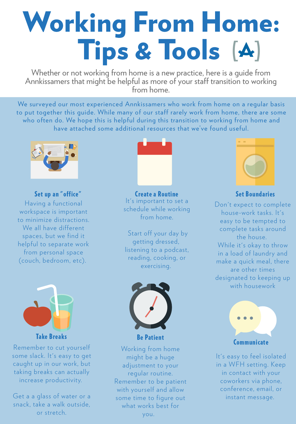It' s important to set a schedule while working from home. Create a Routine Set Boundaries

# Working From H[ome](http://www.annkissam.com/): Tips & Tools [A]

Whether or not working from home is a new practice, here is a guide from Annkissamers that might be helpful as more of your staff transition to working from home.

> Start off your day by getting dressed, listening to a podcast, reading, cooking, or exercising.



Don 't expect to complete house-work tasks. It' s easy to be tempted to complete tasks around the house. While it's okay to throw in a load of laundry and make a quick meal, there are other times designated to keeping up with housework

We surveyed our most experienced Annkissamers who work from home on a regular basis to put together this guide. While many of our staff rarely work from home, there are some who often do. We hope this is helpful during this transition to working from home and have attached some additional resources that we've found useful. '

Having a functional workspace is important to minimize distractions. We all have different spaces, but we find it helpful to separate work from personal space (couch, bedroom, etc).







#### Set up an "office



Remember to cut yourself some slack. It' s easy to get caught up in our work, but taking breaks can actually increase productivity.

Get a a glass of water or a snack, take a walk outside, or stretch.



Be Patient

Working from home might be a huge adjustment to your regular routine. Remember to be patient with yourself and allow some time to figure out what works best for

you.



It' s easy to feel isolated in a WFH setting. Keep in contact with your coworkers via phone, conference, email, or instant message.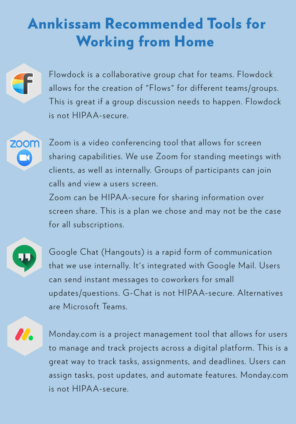Flowdock is a collaborative group chat for teams. Flowdock allows for the creation of "Flows " for different teams/groups. This is great if a group discussion needs to happen. Flowdock is not HIPAA-secure.

Zoom is a video conferencing tool that allows for screen



sharing capabilities. We use Zoom for standing meetings with clients, as well as internally. Groups of participants can join calls and view a users screen.

Zoom can be HIPAA-secure for sharing information over screen share. This is a plan we chose and may not be the case for all subscriptions.



77.

## Annkissam Recommended Tools for Working from Home



Google Chat (Hangouts) is a rapid form of communication that we use internally. It' s integrated with Google Mail. Users can send instant messages to coworkers for small updates/questions. G-Chat is not HIPAA-secure. Alternatives

are Microsoft Teams.

Monday.com is a project management tool that allows for users to manage and track projects across a digital platform. This is a great way to track tasks, assignments, and deadlines. Users can assign tasks, post updates, and automate features. Monday.com is not HIPAA-secure.